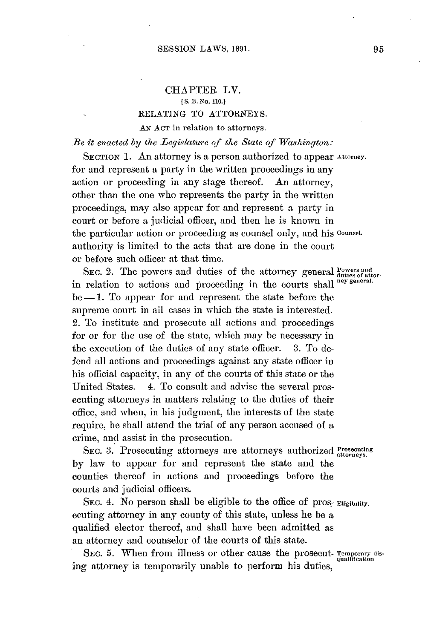## **CHAPTER** LV. **[ S.** B. **No. 110.) RELATING** TO ATTORNEYS. **AN ACT** in relation to attorneys.

*Be it enacted by the Legislature of the State of Washington:*

**SECTION 1.** An attorney is a person authorized to appear **Attorney.** for and represent a party in the written proceedings in any action or proceeding in any stage thereof. **An** attorney, other than the one who represents the party in the written proceedings, may also appear for and represent a party in court or before a judicial officer, and then he is known in the particular action or proceeding as counsel only, and his **counsel.** authority is limited to the acts that are done in the court or before such officer at that time.

SEC. 2. The powers and duties of the attorney general Powers and in relation to actions and proceeding in the courts shall **ney general.** be-1. To appear for and represent the state before the supreme court in all cases in which the state is interested. 2. To institute and prosecute **all** actions and proceedings for or for the use of the state, which may be necessary in the execution of the duties of any state officer. **3.** To defend **all** actions and proceedings against any state officer in his official capacity, in any of the courts of this state or the United States. 4. To consult and advise the several prosecuting attorneys in matters relating to the duties of their office, and when, in his judgment, the interests of the state require, he shall attend the trial of any person accused of a crime, and assist in the prosecution.

SEC. 3. Prosecuting attorneys are attorneys authorized Prosecuting **by** law to appear for and represent the state and the counties thereof in actions and proceedings before the courts and judicial officers.

SEC. 4. No person shall be eligible to the office of pros- **Eligibility.** ecuting attorney in any county of this state, unless he be a qualified elector thereof, and shall have been admitted as an attorney and counselor of the courts of this state.

SEC. 5. When from illness or other cause the prosecut- Temporary dising attorney is temporarily unable to perform his duties,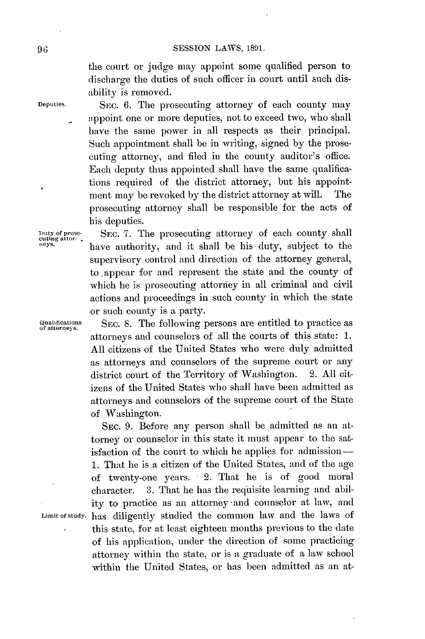the court or judge may appoint some qualified person to discharge the duties of such officer in court until such disability is removed.

**Deputies. SEC. 6.** The prosecuting attorney of each county may appoint one or more deputies, not to exceed two, who shall have the same power in all respects as their principal. Such appointment shall **be** in writing, signed **by** the prosecuting attorney, and filed in the county auditor's office. Each deputy thus appointed shall have the same qualifications required of the district attorney, but his appointment may **be** revoked **by** the district attorney at will. The prosecuting attorney shall be responsible for the acts of his deputies.

> SEC. **7.** The prosecuting attorney of each county shall have authority, and it shall be his duty, subject to the supervisory control and direction of the attorney general, to.appear for and represent the state and the county of which he is prosecuting attoriey in all criminal and civil actions and proceedings in such county in which the state or such county is a party.

Qualifications SEC. 8. The following persons are entitled to practice as of attorneys. attorneys and counselors of all the courts of this state: **1. All** citizens of the United States who were duly admitted as attorneys and counselors of the supreme court or any district court of the Territory of Washington. 2. **All** citizens of the United States who shall have been admitted as attorneys and counselors of the supreme court of the State of Washington.

**SEC. 9.** Before any person shall be admitted as an attorney or counselor in this state it must appear to the satisfaction of the court to which he applies for admission-**1.** That he is a citizen of the United States, and of the age of twenty-one years. 2. That he is of good moral character. **3.** That he has the reqiisite learning and ability to practice as an attorney and counselor at law, and Limit of study. has diligently studied the common law and the laws of this state, for at least eighteen months previous to the date of his application, under the direction of some practicing attorney within the state, or is a graduate of a law school within the United States, or has been admitted as an at-